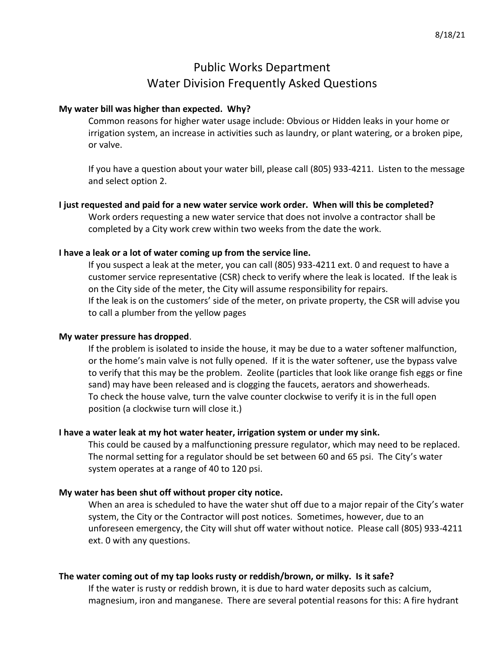# Public Works Department Water Division Frequently Asked Questions

### **My water bill was higher than expected. Why?**

Common reasons for higher water usage include: Obvious or Hidden leaks in your home or irrigation system, an increase in activities such as laundry, or plant watering, or a broken pipe, or valve.

If you have a question about your water bill, please call (805) 933-4211. Listen to the message and select option 2.

# **I just requested and paid for a new water service work order. When will this be completed?**

Work orders requesting a new water service that does not involve a contractor shall be completed by a City work crew within two weeks from the date the work.

#### **I have a leak or a lot of water coming up from the service line.**

If you suspect a leak at the meter, you can call (805) 933-4211 ext. 0 and request to have a customer service representative (CSR) check to verify where the leak is located. If the leak is on the City side of the meter, the City will assume responsibility for repairs. If the leak is on the customers' side of the meter, on private property, the CSR will advise you to call a plumber from the yellow pages

#### **My water pressure has dropped**.

If the problem is isolated to inside the house, it may be due to a water softener malfunction, or the home's main valve is not fully opened. If it is the water softener, use the bypass valve to verify that this may be the problem. Zeolite (particles that look like orange fish eggs or fine sand) may have been released and is clogging the faucets, aerators and showerheads. To check the house valve, turn the valve counter clockwise to verify it is in the full open position (a clockwise turn will close it.)

#### **I have a water leak at my hot water heater, irrigation system or under my sink.**

This could be caused by a malfunctioning pressure regulator, which may need to be replaced. The normal setting for a regulator should be set between 60 and 65 psi. The City's water system operates at a range of 40 to 120 psi.

# **My water has been shut off without proper city notice.**

When an area is scheduled to have the water shut off due to a major repair of the City's water system, the City or the Contractor will post notices. Sometimes, however, due to an unforeseen emergency, the City will shut off water without notice. Please call (805) 933-4211 ext. 0 with any questions.

#### **The water coming out of my tap looks rusty or reddish/brown, or milky. Is it safe?**

If the water is rusty or reddish brown, it is due to hard water deposits such as calcium, magnesium, iron and manganese. There are several potential reasons for this: A fire hydrant